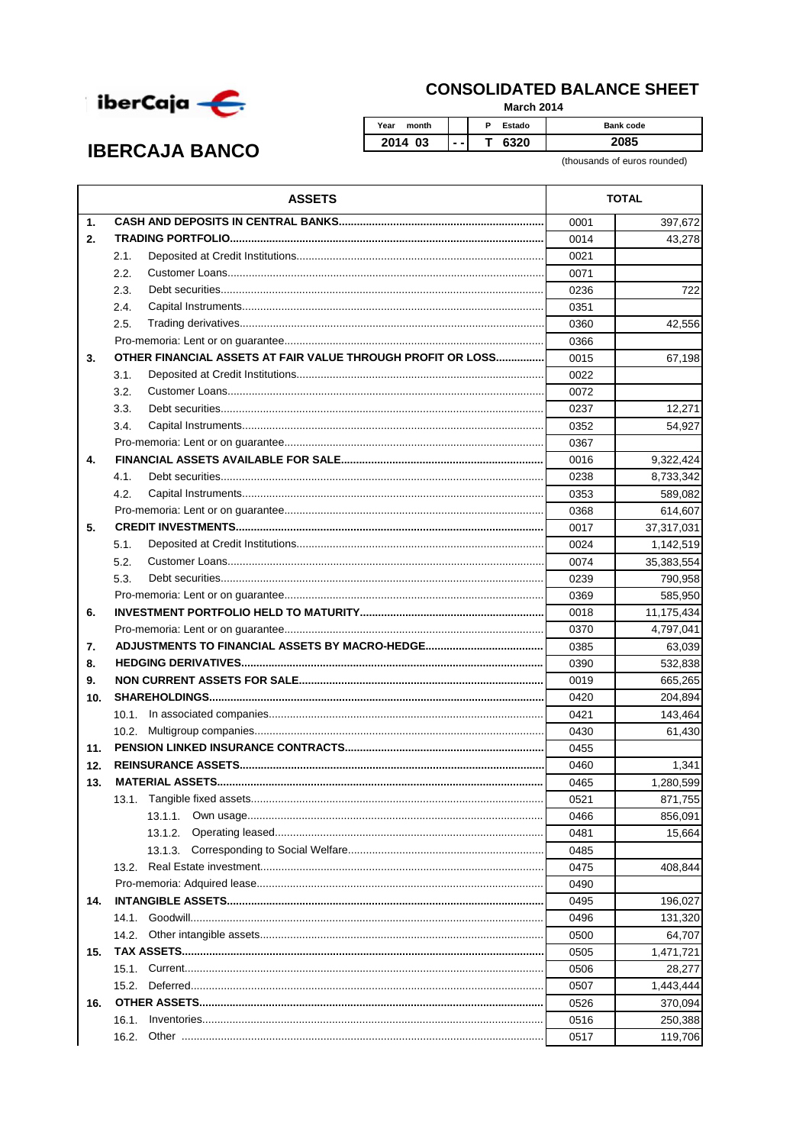

## **CONSOLIDATED BALANCE SHEET**

**March 2014** 

P Estado Bank code  $\overline{\mathsf{T}}$ 6320 2085  $\ddotsc$ 

(thousands of euros rounded)

| $\mathbf{1}$ .<br>0001<br>397,672<br>2.<br>0014<br>43,278<br>2.1.<br>0021<br>2.2.<br>0071<br>2.3.<br>0236<br>722<br>2.4.<br>0351<br>2.5.<br>0360<br>42,556<br>0366<br>OTHER FINANCIAL ASSETS AT FAIR VALUE THROUGH PROFIT OR LOSS<br>0015<br>3.<br>67,198<br>3.1.<br>0022<br>3.2.<br>0072<br>3.3.<br>0237<br>12,271<br>3.4.<br>0352<br>54,927<br>0367<br>4.<br>0016<br>9,322,424<br>4.1.<br>0238<br>8,733,342<br>4.2.<br>0353<br>589,082<br>0368<br>614,607<br>5.<br>0017<br>37,317,031<br>5.1.<br>0024<br>1,142,519<br>5.2.<br>0074<br>35,383,554<br>5.3.<br>0239<br>790,958<br>0369<br>585,950<br>0018<br>11,175,434<br>6.<br>0370<br>4,797,041<br>7.<br>0385<br>63,039<br>0390<br>8.<br>532,838<br>9.<br>0019<br>665,265<br>10.<br>0420<br>204,894<br>0421<br>143,464<br>10.1.<br>0430<br>10.2 <sub>1</sub><br>61,430<br>11.<br>0455<br>12.<br>0460<br>1,341<br>1,280,599<br>13.<br>0465<br>0521<br>871,755<br>13.1.1.<br>0466<br>856,091<br>13.1.2.<br>0481<br>15,664<br>13.1.3.<br>0485<br>0475<br>408,844<br>13.2.<br>0490<br>0495<br>196,027<br>14.<br>0496<br>131,320<br>14.1.<br>0500<br>14.2.<br>64,707<br>0505<br>1,471,721<br>15.<br>0506<br>28,277<br>15.2.<br>0507<br>1,443,444<br>16.<br>0526<br>370,094<br>0516<br>250,388<br>16.1. | <b>ASSETS</b> | <b>TOTAL</b> |         |
|-----------------------------------------------------------------------------------------------------------------------------------------------------------------------------------------------------------------------------------------------------------------------------------------------------------------------------------------------------------------------------------------------------------------------------------------------------------------------------------------------------------------------------------------------------------------------------------------------------------------------------------------------------------------------------------------------------------------------------------------------------------------------------------------------------------------------------------------------------------------------------------------------------------------------------------------------------------------------------------------------------------------------------------------------------------------------------------------------------------------------------------------------------------------------------------------------------------------------------------------------------|---------------|--------------|---------|
|                                                                                                                                                                                                                                                                                                                                                                                                                                                                                                                                                                                                                                                                                                                                                                                                                                                                                                                                                                                                                                                                                                                                                                                                                                                     |               |              |         |
|                                                                                                                                                                                                                                                                                                                                                                                                                                                                                                                                                                                                                                                                                                                                                                                                                                                                                                                                                                                                                                                                                                                                                                                                                                                     |               |              |         |
|                                                                                                                                                                                                                                                                                                                                                                                                                                                                                                                                                                                                                                                                                                                                                                                                                                                                                                                                                                                                                                                                                                                                                                                                                                                     |               |              |         |
|                                                                                                                                                                                                                                                                                                                                                                                                                                                                                                                                                                                                                                                                                                                                                                                                                                                                                                                                                                                                                                                                                                                                                                                                                                                     |               |              |         |
|                                                                                                                                                                                                                                                                                                                                                                                                                                                                                                                                                                                                                                                                                                                                                                                                                                                                                                                                                                                                                                                                                                                                                                                                                                                     |               |              |         |
|                                                                                                                                                                                                                                                                                                                                                                                                                                                                                                                                                                                                                                                                                                                                                                                                                                                                                                                                                                                                                                                                                                                                                                                                                                                     |               |              |         |
|                                                                                                                                                                                                                                                                                                                                                                                                                                                                                                                                                                                                                                                                                                                                                                                                                                                                                                                                                                                                                                                                                                                                                                                                                                                     |               |              |         |
|                                                                                                                                                                                                                                                                                                                                                                                                                                                                                                                                                                                                                                                                                                                                                                                                                                                                                                                                                                                                                                                                                                                                                                                                                                                     |               |              |         |
|                                                                                                                                                                                                                                                                                                                                                                                                                                                                                                                                                                                                                                                                                                                                                                                                                                                                                                                                                                                                                                                                                                                                                                                                                                                     |               |              |         |
|                                                                                                                                                                                                                                                                                                                                                                                                                                                                                                                                                                                                                                                                                                                                                                                                                                                                                                                                                                                                                                                                                                                                                                                                                                                     |               |              |         |
|                                                                                                                                                                                                                                                                                                                                                                                                                                                                                                                                                                                                                                                                                                                                                                                                                                                                                                                                                                                                                                                                                                                                                                                                                                                     |               |              |         |
|                                                                                                                                                                                                                                                                                                                                                                                                                                                                                                                                                                                                                                                                                                                                                                                                                                                                                                                                                                                                                                                                                                                                                                                                                                                     |               |              |         |
|                                                                                                                                                                                                                                                                                                                                                                                                                                                                                                                                                                                                                                                                                                                                                                                                                                                                                                                                                                                                                                                                                                                                                                                                                                                     |               |              |         |
|                                                                                                                                                                                                                                                                                                                                                                                                                                                                                                                                                                                                                                                                                                                                                                                                                                                                                                                                                                                                                                                                                                                                                                                                                                                     |               |              |         |
|                                                                                                                                                                                                                                                                                                                                                                                                                                                                                                                                                                                                                                                                                                                                                                                                                                                                                                                                                                                                                                                                                                                                                                                                                                                     |               |              |         |
|                                                                                                                                                                                                                                                                                                                                                                                                                                                                                                                                                                                                                                                                                                                                                                                                                                                                                                                                                                                                                                                                                                                                                                                                                                                     |               |              |         |
|                                                                                                                                                                                                                                                                                                                                                                                                                                                                                                                                                                                                                                                                                                                                                                                                                                                                                                                                                                                                                                                                                                                                                                                                                                                     |               |              |         |
|                                                                                                                                                                                                                                                                                                                                                                                                                                                                                                                                                                                                                                                                                                                                                                                                                                                                                                                                                                                                                                                                                                                                                                                                                                                     |               |              |         |
|                                                                                                                                                                                                                                                                                                                                                                                                                                                                                                                                                                                                                                                                                                                                                                                                                                                                                                                                                                                                                                                                                                                                                                                                                                                     |               |              |         |
|                                                                                                                                                                                                                                                                                                                                                                                                                                                                                                                                                                                                                                                                                                                                                                                                                                                                                                                                                                                                                                                                                                                                                                                                                                                     |               |              |         |
|                                                                                                                                                                                                                                                                                                                                                                                                                                                                                                                                                                                                                                                                                                                                                                                                                                                                                                                                                                                                                                                                                                                                                                                                                                                     |               |              |         |
|                                                                                                                                                                                                                                                                                                                                                                                                                                                                                                                                                                                                                                                                                                                                                                                                                                                                                                                                                                                                                                                                                                                                                                                                                                                     |               |              |         |
|                                                                                                                                                                                                                                                                                                                                                                                                                                                                                                                                                                                                                                                                                                                                                                                                                                                                                                                                                                                                                                                                                                                                                                                                                                                     |               |              |         |
|                                                                                                                                                                                                                                                                                                                                                                                                                                                                                                                                                                                                                                                                                                                                                                                                                                                                                                                                                                                                                                                                                                                                                                                                                                                     |               |              |         |
|                                                                                                                                                                                                                                                                                                                                                                                                                                                                                                                                                                                                                                                                                                                                                                                                                                                                                                                                                                                                                                                                                                                                                                                                                                                     |               |              |         |
|                                                                                                                                                                                                                                                                                                                                                                                                                                                                                                                                                                                                                                                                                                                                                                                                                                                                                                                                                                                                                                                                                                                                                                                                                                                     |               |              |         |
|                                                                                                                                                                                                                                                                                                                                                                                                                                                                                                                                                                                                                                                                                                                                                                                                                                                                                                                                                                                                                                                                                                                                                                                                                                                     |               |              |         |
|                                                                                                                                                                                                                                                                                                                                                                                                                                                                                                                                                                                                                                                                                                                                                                                                                                                                                                                                                                                                                                                                                                                                                                                                                                                     |               |              |         |
|                                                                                                                                                                                                                                                                                                                                                                                                                                                                                                                                                                                                                                                                                                                                                                                                                                                                                                                                                                                                                                                                                                                                                                                                                                                     |               |              |         |
|                                                                                                                                                                                                                                                                                                                                                                                                                                                                                                                                                                                                                                                                                                                                                                                                                                                                                                                                                                                                                                                                                                                                                                                                                                                     |               |              |         |
|                                                                                                                                                                                                                                                                                                                                                                                                                                                                                                                                                                                                                                                                                                                                                                                                                                                                                                                                                                                                                                                                                                                                                                                                                                                     |               |              |         |
|                                                                                                                                                                                                                                                                                                                                                                                                                                                                                                                                                                                                                                                                                                                                                                                                                                                                                                                                                                                                                                                                                                                                                                                                                                                     |               |              |         |
|                                                                                                                                                                                                                                                                                                                                                                                                                                                                                                                                                                                                                                                                                                                                                                                                                                                                                                                                                                                                                                                                                                                                                                                                                                                     |               |              |         |
|                                                                                                                                                                                                                                                                                                                                                                                                                                                                                                                                                                                                                                                                                                                                                                                                                                                                                                                                                                                                                                                                                                                                                                                                                                                     |               |              |         |
|                                                                                                                                                                                                                                                                                                                                                                                                                                                                                                                                                                                                                                                                                                                                                                                                                                                                                                                                                                                                                                                                                                                                                                                                                                                     |               |              |         |
|                                                                                                                                                                                                                                                                                                                                                                                                                                                                                                                                                                                                                                                                                                                                                                                                                                                                                                                                                                                                                                                                                                                                                                                                                                                     |               |              |         |
|                                                                                                                                                                                                                                                                                                                                                                                                                                                                                                                                                                                                                                                                                                                                                                                                                                                                                                                                                                                                                                                                                                                                                                                                                                                     |               |              |         |
|                                                                                                                                                                                                                                                                                                                                                                                                                                                                                                                                                                                                                                                                                                                                                                                                                                                                                                                                                                                                                                                                                                                                                                                                                                                     |               |              |         |
|                                                                                                                                                                                                                                                                                                                                                                                                                                                                                                                                                                                                                                                                                                                                                                                                                                                                                                                                                                                                                                                                                                                                                                                                                                                     |               |              |         |
|                                                                                                                                                                                                                                                                                                                                                                                                                                                                                                                                                                                                                                                                                                                                                                                                                                                                                                                                                                                                                                                                                                                                                                                                                                                     |               |              |         |
|                                                                                                                                                                                                                                                                                                                                                                                                                                                                                                                                                                                                                                                                                                                                                                                                                                                                                                                                                                                                                                                                                                                                                                                                                                                     |               |              |         |
|                                                                                                                                                                                                                                                                                                                                                                                                                                                                                                                                                                                                                                                                                                                                                                                                                                                                                                                                                                                                                                                                                                                                                                                                                                                     |               |              |         |
|                                                                                                                                                                                                                                                                                                                                                                                                                                                                                                                                                                                                                                                                                                                                                                                                                                                                                                                                                                                                                                                                                                                                                                                                                                                     |               |              |         |
|                                                                                                                                                                                                                                                                                                                                                                                                                                                                                                                                                                                                                                                                                                                                                                                                                                                                                                                                                                                                                                                                                                                                                                                                                                                     |               |              |         |
|                                                                                                                                                                                                                                                                                                                                                                                                                                                                                                                                                                                                                                                                                                                                                                                                                                                                                                                                                                                                                                                                                                                                                                                                                                                     |               |              |         |
|                                                                                                                                                                                                                                                                                                                                                                                                                                                                                                                                                                                                                                                                                                                                                                                                                                                                                                                                                                                                                                                                                                                                                                                                                                                     |               |              |         |
|                                                                                                                                                                                                                                                                                                                                                                                                                                                                                                                                                                                                                                                                                                                                                                                                                                                                                                                                                                                                                                                                                                                                                                                                                                                     |               |              |         |
|                                                                                                                                                                                                                                                                                                                                                                                                                                                                                                                                                                                                                                                                                                                                                                                                                                                                                                                                                                                                                                                                                                                                                                                                                                                     |               |              |         |
|                                                                                                                                                                                                                                                                                                                                                                                                                                                                                                                                                                                                                                                                                                                                                                                                                                                                                                                                                                                                                                                                                                                                                                                                                                                     | 16.2.         | 0517         | 119,706 |

Year month

2014 03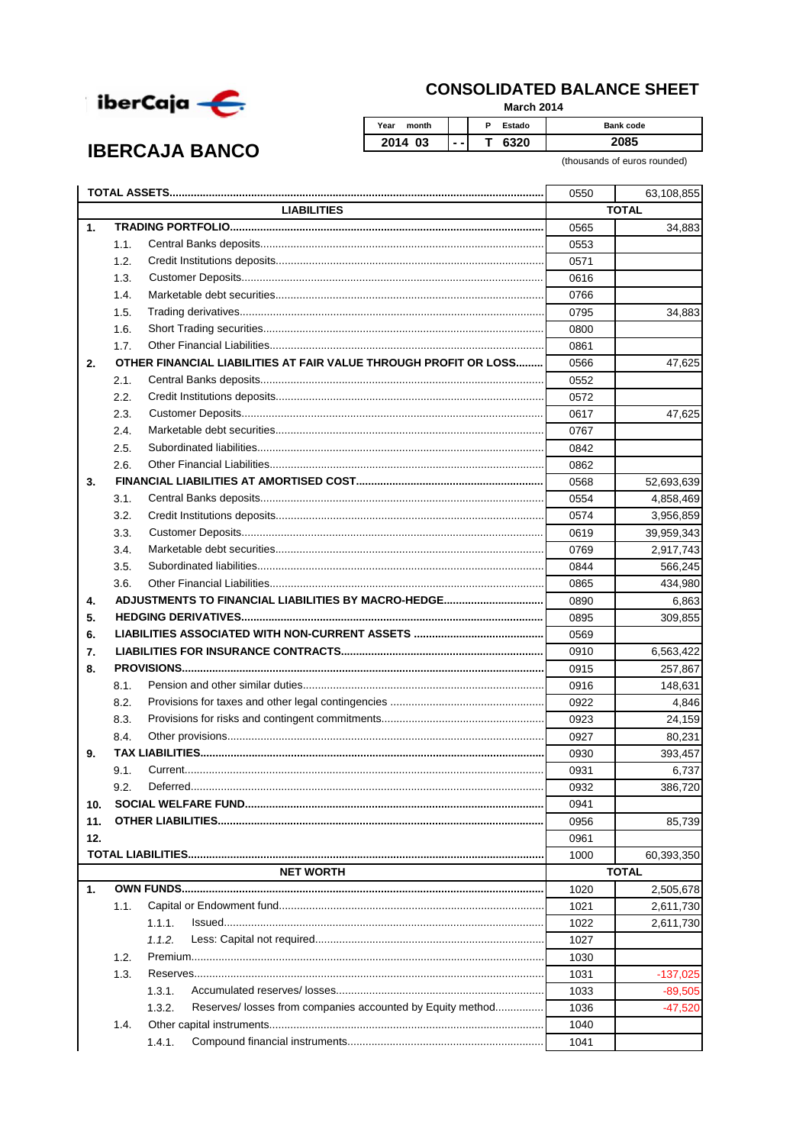

**IBERCAJA BANCO** 

## **CONSOLIDATED BALANCE SHEET**

**March 2014** 

Year month  $\overline{P}$ Estado Bank code 2014 03  $\overline{\mathsf{T}}$ 6320 2085  $\ddotsc$ 

(thousands of euros rounded)

|     |                                                                      | 0550 | 63,108,855   |  |
|-----|----------------------------------------------------------------------|------|--------------|--|
|     | <b>LIABILITIES</b>                                                   |      | <b>TOTAL</b> |  |
| 1.  |                                                                      | 0565 | 34,883       |  |
|     | 1.1.                                                                 | 0553 |              |  |
|     | 1.2.                                                                 | 0571 |              |  |
|     | 1.3.                                                                 | 0616 |              |  |
|     | 1.4.                                                                 | 0766 |              |  |
|     | 1.5.                                                                 | 0795 | 34,883       |  |
|     | 1.6.                                                                 | 0800 |              |  |
|     | 1.7.                                                                 | 0861 |              |  |
| 2.  | OTHER FINANCIAL LIABILITIES AT FAIR VALUE THROUGH PROFIT OR LOSS     | 0566 | 47,625       |  |
|     | 2.1.                                                                 | 0552 |              |  |
|     | 2.2.                                                                 | 0572 |              |  |
|     | 2.3.                                                                 | 0617 | 47,625       |  |
|     | 2.4.                                                                 | 0767 |              |  |
|     | 2.5.                                                                 | 0842 |              |  |
|     | 2.6.                                                                 | 0862 |              |  |
| 3.  |                                                                      | 0568 | 52,693,639   |  |
|     | 3.1.                                                                 | 0554 | 4,858,469    |  |
|     | 3.2.                                                                 | 0574 | 3,956,859    |  |
|     | 3.3.                                                                 | 0619 | 39,959,343   |  |
|     | 3.4.                                                                 | 0769 | 2,917,743    |  |
|     | 3.5.                                                                 | 0844 | 566,245      |  |
|     | 3.6.                                                                 | 0865 | 434,980      |  |
| 4.  |                                                                      | 0890 | 6,863        |  |
| 5.  |                                                                      | 0895 | 309,855      |  |
|     |                                                                      |      |              |  |
| 6.  |                                                                      | 0569 |              |  |
| 7.  |                                                                      | 0910 | 6,563,422    |  |
| 8.  |                                                                      | 0915 | 257,867      |  |
|     | 8.1.                                                                 | 0916 | 148,631      |  |
|     | 8.2.                                                                 | 0922 | 4,846        |  |
|     | 8.3.                                                                 | 0923 | 24,159       |  |
|     | 8.4.                                                                 | 0927 | 80,231       |  |
| 9.  |                                                                      | 0930 | 393,457      |  |
|     | 9.1.                                                                 | 0931 | 6,737        |  |
|     | 9.2.                                                                 | 0932 | 386,720      |  |
| 10. |                                                                      | 0941 |              |  |
| 11. |                                                                      | 0956 | 85,739       |  |
| 12. |                                                                      | 0961 |              |  |
|     |                                                                      | 1000 | 60,393,350   |  |
|     | <b>NET WORTH</b>                                                     |      | <b>TOTAL</b> |  |
| 1.  |                                                                      | 1020 | 2,505,678    |  |
|     | 1.1.                                                                 | 1021 | 2,611,730    |  |
|     | 1.1.1.                                                               | 1022 | 2,611,730    |  |
|     | 1.1.2.                                                               | 1027 |              |  |
|     | 1.2.                                                                 | 1030 |              |  |
|     | 1.3.                                                                 | 1031 | $-137,025$   |  |
|     | 1.3.1.                                                               | 1033 | $-89,505$    |  |
|     | Reserves/ losses from companies accounted by Equity method<br>1.3.2. | 1036 | -47,520      |  |
|     | 1.4.                                                                 | 1040 |              |  |
|     | 1.4.1.                                                               | 1041 |              |  |